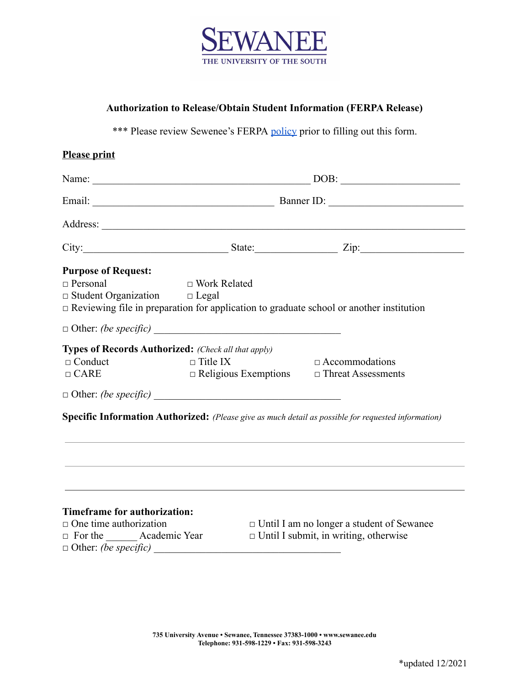

## **Authorization to Release/Obtain Student Information (FERPA Release)**

\*\*\* Please review Sewenee's FERPA [policy](https://new.sewanee.edu/files/resources/ferpa-policy-2.pdf) prior to filling out this form.

|                                                                                                | $\boxed{\text{DOB:}\quad \textcolor{red}{\overbrace{\text{DOB:}\quad \textcolor{blue}{\overbrace{\text{DOB:}\quad \textcolor{blue}{\overbrace{\text{DOB:}\quad \textcolor{blue}{\overbrace{\text{DAO}}} \quad \textcolor{blue}{\overbrace{\text{DAO}}} \quad \textcolor{blue}{\overbrace{\text{DAO}}} \quad \textcolor{blue}{\overbrace{\text{DAO}}} \quad \textcolor{blue}{\overbrace{\text{DAO}}} \quad \textcolor{blue}{\overbrace{\text{DAO}}} \quad \textcolor{blue}{\overbrace{\text{DAO}}} \quad \textcolor{blue}{\overbrace{\text{DAO}}} \quad \textcolor{blue}{\overbrace{\text{DAO}}} \quad \textcolor{blue}{$ |                                                                                                     |
|------------------------------------------------------------------------------------------------|--------------------------------------------------------------------------------------------------------------------------------------------------------------------------------------------------------------------------------------------------------------------------------------------------------------------------------------------------------------------------------------------------------------------------------------------------------------------------------------------------------------------------------------------------------------------------------------------------------------------------|-----------------------------------------------------------------------------------------------------|
|                                                                                                |                                                                                                                                                                                                                                                                                                                                                                                                                                                                                                                                                                                                                          |                                                                                                     |
|                                                                                                |                                                                                                                                                                                                                                                                                                                                                                                                                                                                                                                                                                                                                          |                                                                                                     |
|                                                                                                |                                                                                                                                                                                                                                                                                                                                                                                                                                                                                                                                                                                                                          | City: $\qquad \qquad \qquad$ State: $\qquad \qquad$ Zip:                                            |
| <b>Purpose of Request:</b>                                                                     |                                                                                                                                                                                                                                                                                                                                                                                                                                                                                                                                                                                                                          |                                                                                                     |
| $\Box$ Personal                                                                                | □ Work Related                                                                                                                                                                                                                                                                                                                                                                                                                                                                                                                                                                                                           |                                                                                                     |
| $\Box$ Student Organization $\Box$ Legal                                                       |                                                                                                                                                                                                                                                                                                                                                                                                                                                                                                                                                                                                                          |                                                                                                     |
| $\Box$ Reviewing file in preparation for application to graduate school or another institution |                                                                                                                                                                                                                                                                                                                                                                                                                                                                                                                                                                                                                          |                                                                                                     |
|                                                                                                |                                                                                                                                                                                                                                                                                                                                                                                                                                                                                                                                                                                                                          |                                                                                                     |
| <b>Types of Records Authorized:</b> (Check all that apply)                                     |                                                                                                                                                                                                                                                                                                                                                                                                                                                                                                                                                                                                                          |                                                                                                     |
| $\Box$ Conduct                                                                                 | $\Box$ Title IX                                                                                                                                                                                                                                                                                                                                                                                                                                                                                                                                                                                                          | $\Box$ Accommodations                                                                               |
| $\Box$ CARE                                                                                    | $\Box$ Religious Exemptions $\Box$ Threat Assessments                                                                                                                                                                                                                                                                                                                                                                                                                                                                                                                                                                    |                                                                                                     |
|                                                                                                |                                                                                                                                                                                                                                                                                                                                                                                                                                                                                                                                                                                                                          |                                                                                                     |
|                                                                                                |                                                                                                                                                                                                                                                                                                                                                                                                                                                                                                                                                                                                                          | Specific Information Authorized: (Please give as much detail as possible for requested information) |
|                                                                                                |                                                                                                                                                                                                                                                                                                                                                                                                                                                                                                                                                                                                                          |                                                                                                     |
|                                                                                                |                                                                                                                                                                                                                                                                                                                                                                                                                                                                                                                                                                                                                          |                                                                                                     |
|                                                                                                |                                                                                                                                                                                                                                                                                                                                                                                                                                                                                                                                                                                                                          |                                                                                                     |
|                                                                                                |                                                                                                                                                                                                                                                                                                                                                                                                                                                                                                                                                                                                                          |                                                                                                     |
|                                                                                                |                                                                                                                                                                                                                                                                                                                                                                                                                                                                                                                                                                                                                          |                                                                                                     |
|                                                                                                |                                                                                                                                                                                                                                                                                                                                                                                                                                                                                                                                                                                                                          |                                                                                                     |
| Timeframe for authorization:                                                                   |                                                                                                                                                                                                                                                                                                                                                                                                                                                                                                                                                                                                                          |                                                                                                     |

 $\Box$  Other: *(be specific)* 

□ One time authorization □ Until I am no longer a student of Sewanee □ For the \_\_\_\_\_\_\_Academic Year □ Until I submit, in writing, otherwise